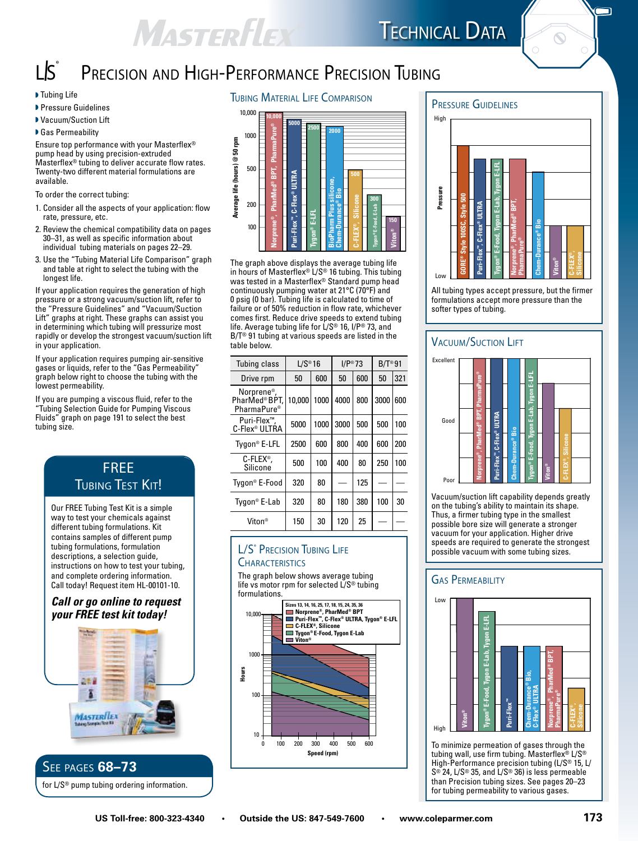### MASTERFLEX **TECHNICAL DATA**



ה

# Precision and High-Performance Precision Tubing

L $\mathsf{S}^{\mathsf{\scriptscriptstyle\$}}$ 

- **Pressure Guidelines**
- ▶ Vacuum/Suction Lift

▶ Gas Permeability

Ensure top performance with your Masterflex® pump head by using precision-extruded Masterflex® tubing to deliver accurate flow rates. Twenty-two different material formulations are available.

To order the correct tubing:

- 1. Consider all the aspects of your application: flow rate, pressure, etc.
- 2. Review the chemical compatibility data on pages 30–31, as well as specific information about individual tubing materials on pages 22–29.
- 3. Use the "Tubing Material Life Comparison" graph and table at right to select the tubing with the longest life.

If your application requires the generation of high pressure or a strong vacuum/suction lift, refer to the "Pressure Guidelines" and "Vacuum/Suction Lift" graphs at right. These graphs can assist you in determining which tubing will pressurize most rapidly or develop the strongest vacuum/suction lift in your application.

If your application requires pumping air-sensitive gases or liquids, refer to the "Gas Permeability" graph below right to choose the tubing with the lowest permeability.

If you are pumping a viscous fluid, refer to the "Tubing Selection Guide for Pumping Viscous Fluids" graph on page 191 to select the best tubing size.

# FREE **TUBING TEST KIT!**

Our FREE Tubing Test Kit is a simple way to test your chemicals against different tubing formulations. Kit contains samples of different pump tubing formulations, formulation descriptions, a selection guide, instructions on how to test your tubing, and complete ordering information. Call today! Request item HL-00101-10.

#### *Call or go online to request your FREE test kit today!*



# See pages **68–73**

for L/S® pump tubing ordering information.

#### I Tubing Life Tubing Life COMPARISON



The graph above displays the average tubing life in hours of Masterflex® L/S® 16 tubing. This tubing was tested in a Masterflex® Standard pump head continuously pumping water at 21°C (70°F) and 0 psig (0 bar). Tubing life is calculated to time of failure or of 50% reduction in flow rate, whichever comes first. Reduce drive speeds to extend tubing life. Average tubing life for L/S® 16, I/P® 73, and B/T® 91 tubing at various speeds are listed in the table below.

| Tubing class                                                       | $L/S^{\circledast}16$ |        | $I/P^* 73$ |     | $B/T^{\circledcirc}91$ |     |
|--------------------------------------------------------------------|-----------------------|--------|------------|-----|------------------------|-----|
| Drive rpm                                                          | 50                    | 600    | 50         | 600 | 50                     | 321 |
| Norprene <sup>®</sup> ,<br>PharMed®BPT.<br>PharmaPure <sup>®</sup> | 10.000                | 1000 l | 4000       | 800 | 3000                   | 600 |
| Puri-Flex <sup>™</sup> .<br>C-Flex <sup>®</sup> ULTRA              | 5000                  | 1000   | 3000       | 500 | 500                    | 100 |
| Tygon® E-LFL                                                       | 2500                  | 600    | 800        | 400 | 600                    | 200 |
| C-FLEX <sup>®</sup> ,<br>Silicone                                  | 500                   | 100    | 400        | 80  | 250                    | 100 |
| Tygon® E-Food                                                      | 320                   | 80     |            | 125 |                        |     |
| Tygon <sup>®</sup> E-Lab                                           | 320                   | 80     | 180        | 380 | 100                    | 30  |
| Viton <sup>®</sup>                                                 | 150                   | 30     | 120        | 25  |                        |     |

#### L/S® Precision Tubing Life **CHARACTERISTICS**

The graph below shows average tubing life vs motor rpm for selected L/S® tubing formulations.





All tubing types accept pressure, but the firmer formulations accept more pressure than the

#### **VACUUM/SUCTION LIFT**



Vacuum/suction lift capability depends greatly on the tubing's ability to maintain its shape. Thus, a firmer tubing type in the smallest possible bore size will generate a stronger vacuum for your application. Higher drive speeds are required to generate the strongest possible vacuum with some tubing sizes.

#### **GAS PERMEABILITY**



To minimize permeation of gases through the tubing wall, use firm tubing. Masterflex® L/S® High-Performance precision tubing (L/S® 15, L/ S® 24, L/S® 35, and L/S® 36) is less permeable than Precision tubing sizes. See pages 20–23 for tubing permeability to various gases.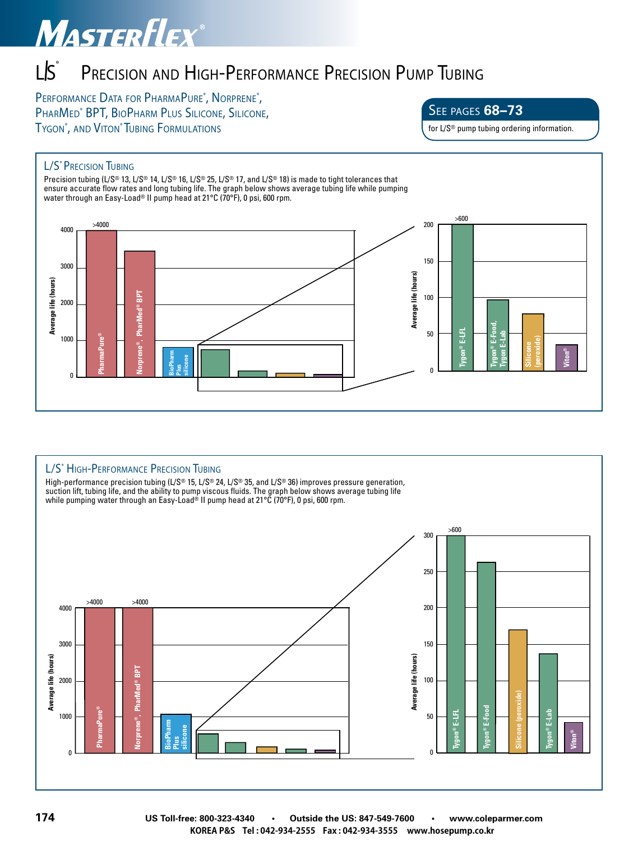# MASTERFLEX®

#### L $\mathsf{S}^{\mathsf{\scriptscriptstyle\$}}$ Precision and High-Performance Precision Pump Tubing

PERFORMANCE DATA FOR PHARMAPURE®, NORPRENE®, PHARMED<sup>®</sup> BPT, BIOPHARM PLUS SILICONE, SILICONE, Tygon®, and Viton® Tubing Formulation

See pages **68–73**

for L/S® pump tubing ordering information.

#### L/S<sup>®</sup> PRECISION TUBING

Precision tubing (L/S® 13, L/S® 14, L/S® 16, L/S® 25, L/S® 17, and L/S® 18) is made to tight tolerances that ensure accurate flow rates and long tubing life. The graph below shows average tubing life while pumping water through an Easy-Load® II pump head at 21°C (70°F), 0 psi, 600 rpm.



#### L/S<sup>®</sup> HIGH-PERFORMANCE PRECISION TUBING

High-performance precision tubing (L/S® 15, L/S® 24, L/S® 35, and L/S® 36) improves pressure generation, suction lift, tubing life, and the ability to pump viscous fluids. The graph below shows average tubing life while pumping water through an Easy-Load® II pump head at 21°C (70°F), 0 psi, 600 rpm.